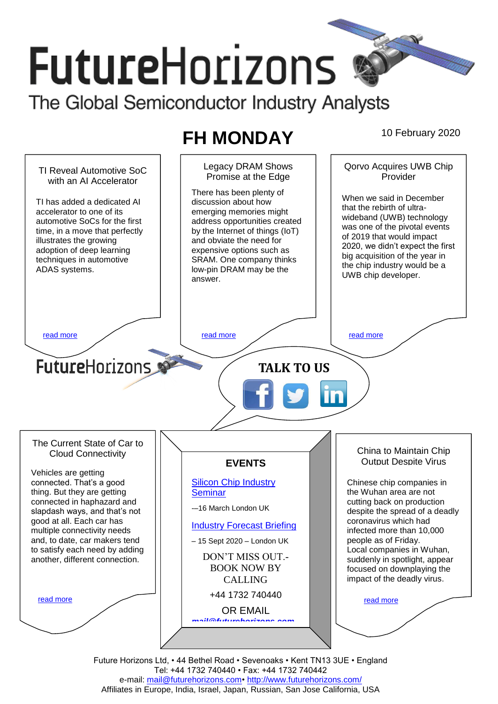# **FutureHorizons** The Global Semiconductor Industry Analysts

## **FH MONDAY** 10 February 2020

Legacy DRAM Shows Qorvo Acquires UWB Chip TI Reveal Automotive SoC Promise at the Edge Provider with an AI Accelerator There has been plenty of When we said in December TI has added a dedicated AI discussion about how that the rebirth of ultraaccelerator to one of its emerging memories might wideband (UWB) technology automotive SoCs for the first address opportunities created was one of the pivotal events by the Internet of things (IoT) time, in a move that perfectly of 2019 that would impact illustrates the growing and obviate the need for 2020, we didn't expect the first adoption of deep learning expensive options such as big acquisition of the year in techniques in automotive SRAM. One company thinks the chip industry would be a ADAS systems. low-pin DRAM may be the UWB chip developer. answer. [read more](#page-1-1) that the second contract the second contract of the read more that the read more that the read more **Future**Horizons **TALK TO US** The Current State of Car to China to Maintain Chip Cloud Connectivity Output Despite Virus **EVENTS** Vehicles are getting connected. That's a good [Silicon Chip Industry](http://www.futurehorizons.com/page/12/silicon-chip-training)  Chinese chip companies in thing. But they are getting **[Seminar](http://www.futurehorizons.com/page/12/silicon-chip-training)** the Wuhan area are not connected in haphazard and cutting back on production -–16 March London UK slapdash ways, and that's not despite the spread of a deadly good at all. Each car has coronavirus which had [Industry Forecast Briefing](http://www.futurehorizons.com/page/13/Semiconductor-Market-Forecast-Seminar) multiple connectivity needs infected more than 10,000 and, to date, car makers tend people as of Friday. – 15 Sept 2020 – London UK to satisfy each need by adding Local companies in Wuhan, DON'T MISS OUT. another, different connection.suddenly in spotlight, appear BOOK NOW BY focused on downplaying the impact of the deadly virus. CALLING +44 1732 740440 [read more](#page-1-3) [read more](#page-1-4) OR EMAIL *[mail@futurehorizons.com](mailto:mail@futurehorizons.com)*

> Future Horizons Ltd, • 44 Bethel Road • Sevenoaks • Kent TN13 3UE • England Tel: +44 1732 740440 • Fax: +44 1732 740442 e-mail: mail@futurehorizons.com• http://www.futurehorizons.com/ Affiliates in Europe, India, Israel, Japan, Russian, San Jose California, USA